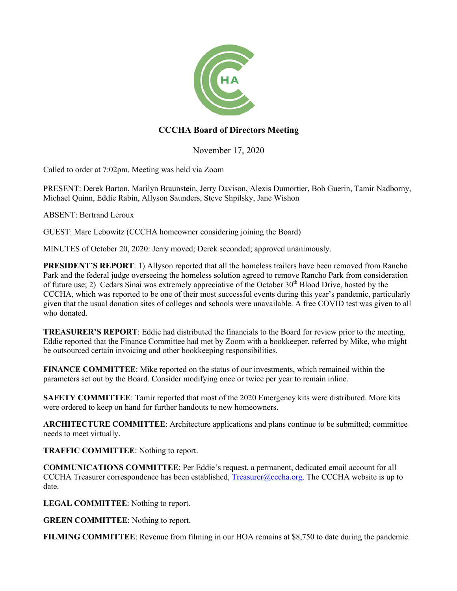

## **CCCHA Board of Directors Meeting**

November 17, 2020

Called to order at 7:02pm. Meeting was held via Zoom

PRESENT: Derek Barton, Marilyn Braunstein, Jerry Davison, Alexis Dumortier, Bob Guerin, Tamir Nadborny, Michael Quinn, Eddie Rabin, Allyson Saunders, Steve Shpilsky, Jane Wishon

ABSENT: Bertrand Leroux

GUEST: Marc Lebowitz (CCCHA homeowner considering joining the Board)

MINUTES of October 20, 2020: Jerry moved; Derek seconded; approved unanimously.

**PRESIDENT'S REPORT:** 1) Allyson reported that all the homeless trailers have been removed from Rancho Park and the federal judge overseeing the homeless solution agreed to remove Rancho Park from consideration of future use; 2) Cedars Sinai was extremely appreciative of the October  $30<sup>th</sup>$  Blood Drive, hosted by the CCCHA, which was reported to be one of their most successful events during this year's pandemic, particularly given that the usual donation sites of colleges and schools were unavailable. A free COVID test was given to all who donated.

**TREASURER'S REPORT**: Eddie had distributed the financials to the Board for review prior to the meeting. Eddie reported that the Finance Committee had met by Zoom with a bookkeeper, referred by Mike, who might be outsourced certain invoicing and other bookkeeping responsibilities.

**FINANCE COMMITTEE**: Mike reported on the status of our investments, which remained within the parameters set out by the Board. Consider modifying once or twice per year to remain inline.

**SAFETY COMMITTEE**: Tamir reported that most of the 2020 Emergency kits were distributed. More kits were ordered to keep on hand for further handouts to new homeowners.

**ARCHITECTURE COMMITTEE**: Architecture applications and plans continue to be submitted; committee needs to meet virtually.

**TRAFFIC COMMITTEE**: Nothing to report.

**COMMUNICATIONS COMMITTEE**: Per Eddie's request, a permanent, dedicated email account for all CCCHA Treasurer correspondence has been established, Treasurer@cccha.org. The CCCHA website is up to date.

**LEGAL COMMITTEE**: Nothing to report.

**GREEN COMMITTEE**: Nothing to report.

**FILMING COMMITTEE**: Revenue from filming in our HOA remains at \$8,750 to date during the pandemic.